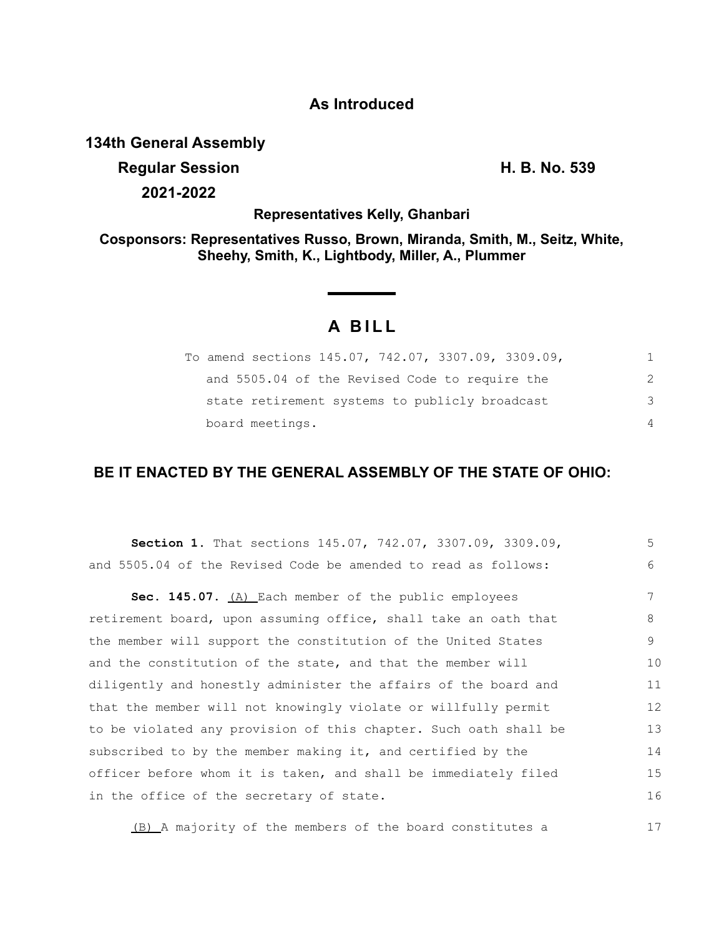## **As Introduced**

### **134th General Assembly**

**Regular Session H. B. No. 539 2021-2022**

17

**Representatives Kelly, Ghanbari**

**Cosponsors: Representatives Russo, Brown, Miranda, Smith, M., Seitz, White, Sheehy, Smith, K., Lightbody, Miller, A., Plummer**

# **A B I L L**

| To amend sections 145.07, 742.07, 3307.09, 3309.09, |                |
|-----------------------------------------------------|----------------|
| and 5505.04 of the Revised Code to require the      | 2              |
| state retirement systems to publicly broadcast      | 3              |
| board meetings.                                     | $\overline{4}$ |

### **BE IT ENACTED BY THE GENERAL ASSEMBLY OF THE STATE OF OHIO:**

| <b>Section 1.</b> That sections 145.07, 742.07, 3307.09, 3309.09, | 5  |
|-------------------------------------------------------------------|----|
| and 5505.04 of the Revised Code be amended to read as follows:    | 6  |
| Sec. 145.07. (A) Each member of the public employees              | 7  |
| retirement board, upon assuming office, shall take an oath that   | 8  |
| the member will support the constitution of the United States     | 9  |
| and the constitution of the state, and that the member will       | 10 |
| diligently and honestly administer the affairs of the board and   | 11 |
| that the member will not knowingly violate or willfully permit    | 12 |
| to be violated any provision of this chapter. Such oath shall be  | 13 |
| subscribed to by the member making it, and certified by the       | 14 |
| officer before whom it is taken, and shall be immediately filed   | 15 |
| in the office of the secretary of state.                          | 16 |
|                                                                   |    |

(B) A majority of the members of the board constitutes a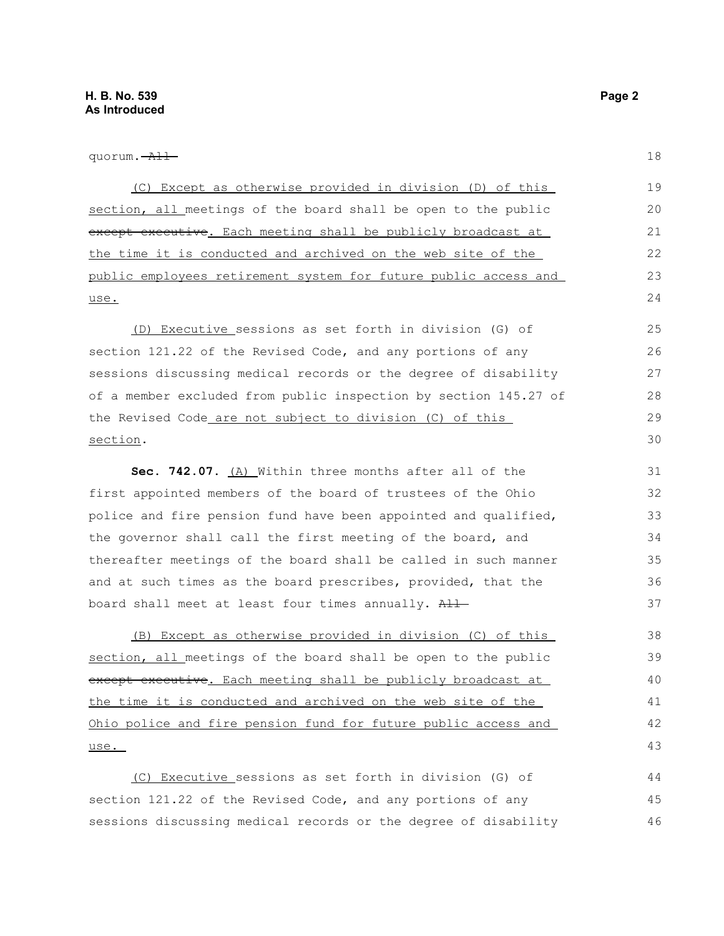quorum. All

(C) Except as otherwise provided in division (D) of this section, all meetings of the board shall be open to the public except executive. Each meeting shall be publicly broadcast at the time it is conducted and archived on the web site of the public employees retirement system for future public access and use. 19 20 21 22 23  $24$ 

(D) Executive sessions as set forth in division (G) of section 121.22 of the Revised Code, and any portions of any sessions discussing medical records or the degree of disability of a member excluded from public inspection by section 145.27 of the Revised Code are not subject to division (C) of this section.

**Sec. 742.07.** (A) Within three months after all of the first appointed members of the board of trustees of the Ohio police and fire pension fund have been appointed and qualified, the governor shall call the first meeting of the board, and thereafter meetings of the board shall be called in such manner and at such times as the board prescribes, provided, that the board shall meet at least four times annually. All

(B) Except as otherwise provided in division (C) of this section, all meetings of the board shall be open to the public except executive. Each meeting shall be publicly broadcast at the time it is conducted and archived on the web site of the Ohio police and fire pension fund for future public access and use.

(C) Executive sessions as set forth in division (G) of section 121.22 of the Revised Code, and any portions of any sessions discussing medical records or the degree of disability 44 45 46

18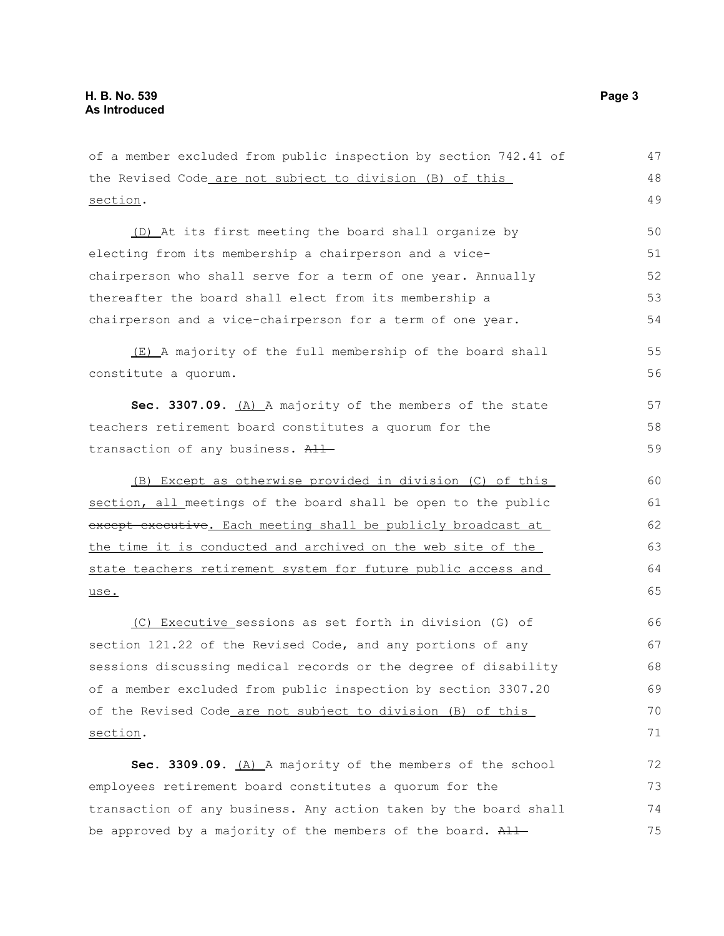of a member excluded from public inspection by section 742.41 of the Revised Code are not subject to division (B) of this section. (D) At its first meeting the board shall organize by electing from its membership a chairperson and a vicechairperson who shall serve for a term of one year. Annually thereafter the board shall elect from its membership a chairperson and a vice-chairperson for a term of one year. (E) A majority of the full membership of the board shall constitute a quorum. **Sec. 3307.09.** (A) A majority of the members of the state teachers retirement board constitutes a quorum for the transaction of any business. All (B) Except as otherwise provided in division (C) of this section, all meetings of the board shall be open to the public except executive. Each meeting shall be publicly broadcast at the time it is conducted and archived on the web site of the state teachers retirement system for future public access and use. (C) Executive sessions as set forth in division (G) of section 121.22 of the Revised Code, and any portions of any sessions discussing medical records or the degree of disability of a member excluded from public inspection by section 3307.20 of the Revised Code are not subject to division (B) of this section. Sec. 3309.09. **(A)** A majority of the members of the school employees retirement board constitutes a quorum for the transaction of any business. Any action taken by the board shall be approved by a majority of the members of the board. All 47 48 49 50 51 52 53 54 55 56 57 58 59 60 61 62 63 64 65 66 67 68 69 70 71 72 73 74 75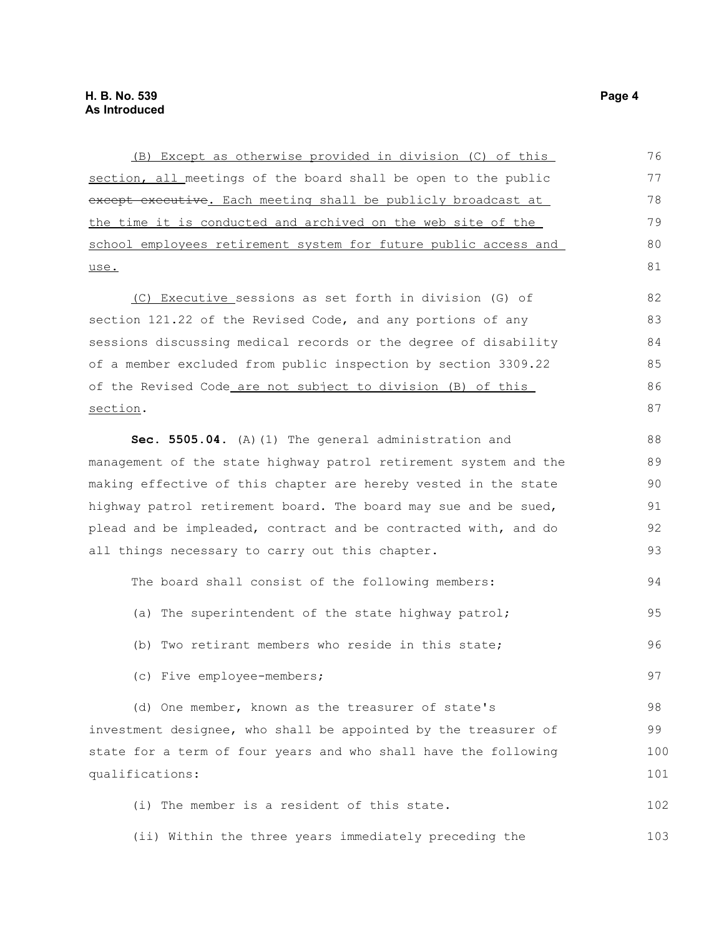(B) Except as otherwise provided in division (C) of this section, all meetings of the board shall be open to the public except executive. Each meeting shall be publicly broadcast at the time it is conducted and archived on the web site of the school employees retirement system for future public access and use. (C) Executive sessions as set forth in division (G) of section 121.22 of the Revised Code, and any portions of any sessions discussing medical records or the degree of disability of a member excluded from public inspection by section 3309.22 of the Revised Code are not subject to division (B) of this section. **Sec. 5505.04.** (A)(1) The general administration and management of the state highway patrol retirement system and the making effective of this chapter are hereby vested in the state highway patrol retirement board. The board may sue and be sued, plead and be impleaded, contract and be contracted with, and do all things necessary to carry out this chapter. The board shall consist of the following members: (a) The superintendent of the state highway patrol; (b) Two retirant members who reside in this state; (c) Five employee-members; (d) One member, known as the treasurer of state's investment designee, who shall be appointed by the treasurer of state for a term of four years and who shall have the following qualifications: (i) The member is a resident of this state. (ii) Within the three years immediately preceding the 76 77 78 79 80 81 82 83 84 85 86 87 88 89 90 91 92 93 94 95 96 97 98 99 100 101 102 103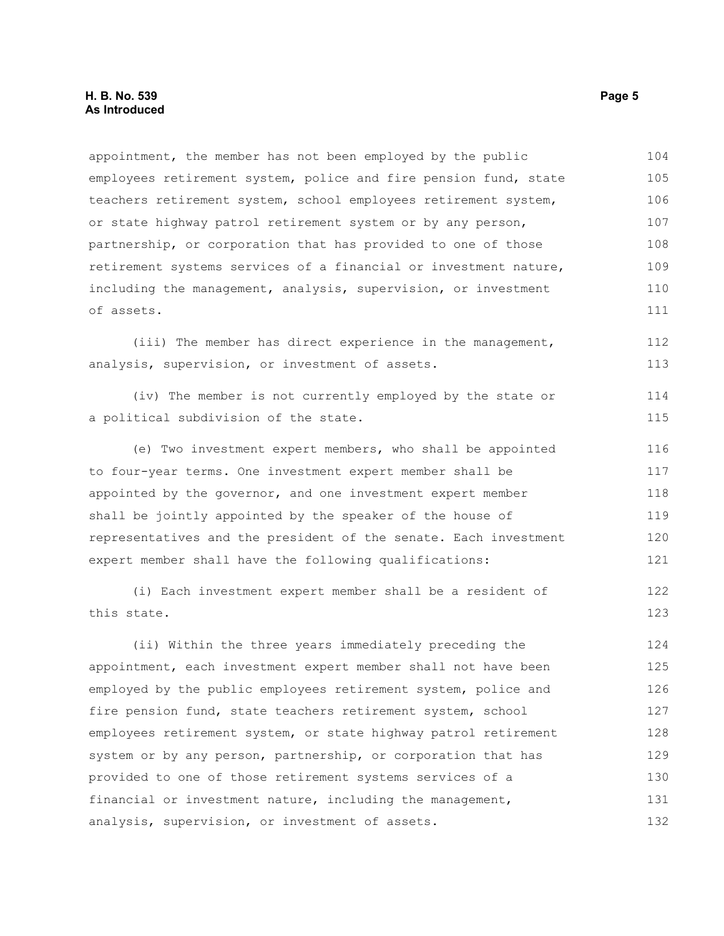appointment, the member has not been employed by the public employees retirement system, police and fire pension fund, state teachers retirement system, school employees retirement system, or state highway patrol retirement system or by any person, partnership, or corporation that has provided to one of those retirement systems services of a financial or investment nature, including the management, analysis, supervision, or investment of assets. 104 105 106 107 108 109 110 111

(iii) The member has direct experience in the management, analysis, supervision, or investment of assets. 112 113

|  | (iv) The member is not currently employed by the state or |  |  |  |  | 114 |
|--|-----------------------------------------------------------|--|--|--|--|-----|
|  | a political subdivision of the state.                     |  |  |  |  | 115 |

(e) Two investment expert members, who shall be appointed to four-year terms. One investment expert member shall be appointed by the governor, and one investment expert member shall be jointly appointed by the speaker of the house of representatives and the president of the senate. Each investment expert member shall have the following qualifications: 116 117 118 119 120 121

(i) Each investment expert member shall be a resident of this state.

(ii) Within the three years immediately preceding the appointment, each investment expert member shall not have been employed by the public employees retirement system, police and fire pension fund, state teachers retirement system, school employees retirement system, or state highway patrol retirement system or by any person, partnership, or corporation that has provided to one of those retirement systems services of a financial or investment nature, including the management, analysis, supervision, or investment of assets. 124 125 126 127 128 129 130 131 132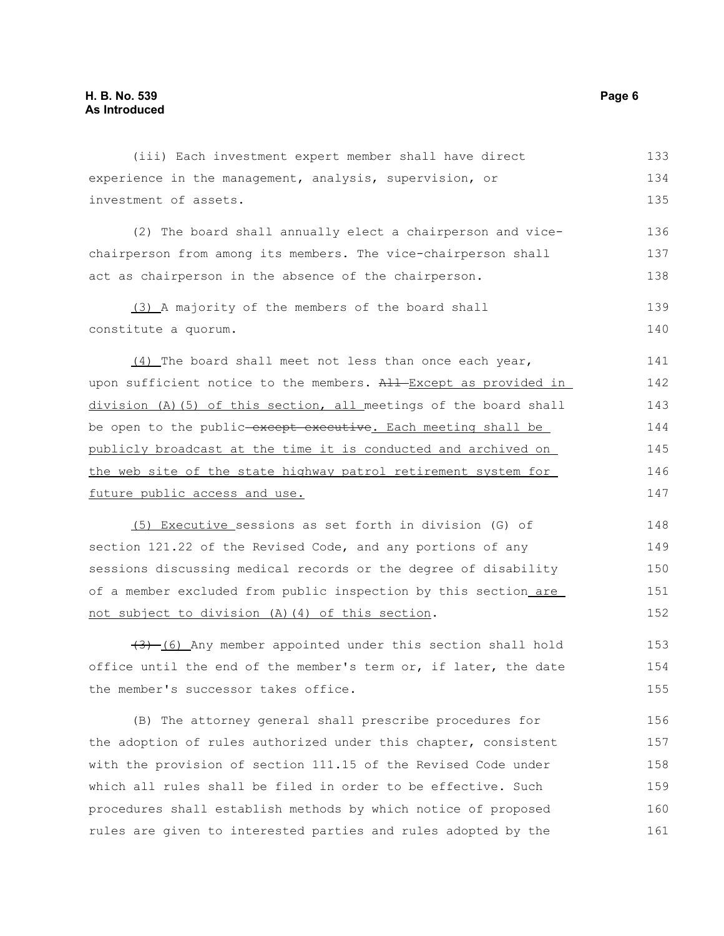| experience in the management, analysis, supervision, or           | 134 |
|-------------------------------------------------------------------|-----|
| investment of assets.                                             | 135 |
| (2) The board shall annually elect a chairperson and vice-        | 136 |
|                                                                   |     |
| chairperson from among its members. The vice-chairperson shall    | 137 |
| act as chairperson in the absence of the chairperson.             | 138 |
| (3) A majority of the members of the board shall                  | 139 |
| constitute a quorum.                                              | 140 |
| (4) The board shall meet not less than once each year,            | 141 |
| upon sufficient notice to the members. All Except as provided in  | 142 |
| division (A) (5) of this section, all meetings of the board shall | 143 |
| be open to the public-except executive. Each meeting shall be     | 144 |
| publicly broadcast at the time it is conducted and archived on    | 145 |
| the web site of the state highway patrol retirement system for    | 146 |
| future public access and use.                                     | 147 |
| (5) Executive sessions as set forth in division (G) of            | 148 |
| section 121.22 of the Revised Code, and any portions of any       | 149 |
| sessions discussing medical records or the degree of disability   | 150 |
| of a member excluded from public inspection by this section are   | 151 |
| not subject to division (A) (4) of this section.                  | 152 |
| (6) Any member appointed under this section shall hold            | 153 |
| office until the end of the member's term or, if later, the date  | 154 |
| the member's successor takes office.                              | 155 |
| (B) The attorney general shall prescribe procedures for           | 156 |
| the adoption of rules authorized under this chapter, consistent   | 157 |
| with the provision of section 111.15 of the Revised Code under    | 158 |
| which all rules shall be filed in order to be effective. Such     | 159 |
| procedures shall establish methods by which notice of proposed    | 160 |
| rules are given to interested parties and rules adopted by the    | 161 |
|                                                                   |     |

(iii) Each investment expert member shall have direct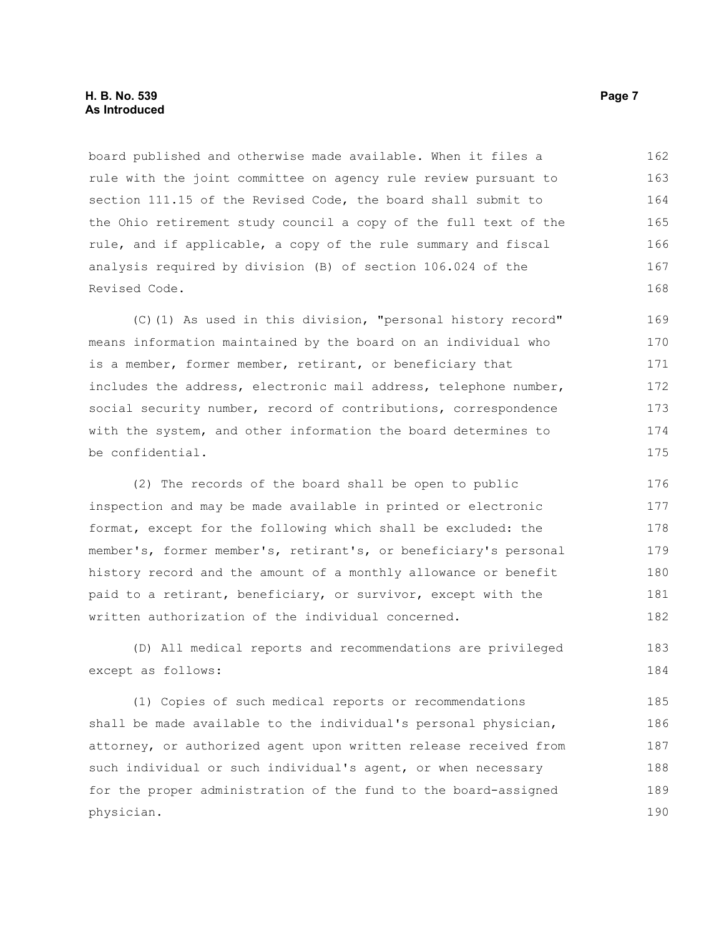#### **H. B. No. 539 Page 7 As Introduced**

board published and otherwise made available. When it files a rule with the joint committee on agency rule review pursuant to section 111.15 of the Revised Code, the board shall submit to the Ohio retirement study council a copy of the full text of the rule, and if applicable, a copy of the rule summary and fiscal analysis required by division (B) of section 106.024 of the Revised Code. 162 163 164 165 166 167 168

(C)(1) As used in this division, "personal history record" means information maintained by the board on an individual who is a member, former member, retirant, or beneficiary that includes the address, electronic mail address, telephone number, social security number, record of contributions, correspondence with the system, and other information the board determines to be confidential. 169 170 171 172 173 174 175

(2) The records of the board shall be open to public inspection and may be made available in printed or electronic format, except for the following which shall be excluded: the member's, former member's, retirant's, or beneficiary's personal history record and the amount of a monthly allowance or benefit paid to a retirant, beneficiary, or survivor, except with the written authorization of the individual concerned. 176 177 178 179 180 181 182

(D) All medical reports and recommendations are privileged except as follows:

(1) Copies of such medical reports or recommendations shall be made available to the individual's personal physician, attorney, or authorized agent upon written release received from such individual or such individual's agent, or when necessary for the proper administration of the fund to the board-assigned physician. 185 186 187 188 189 190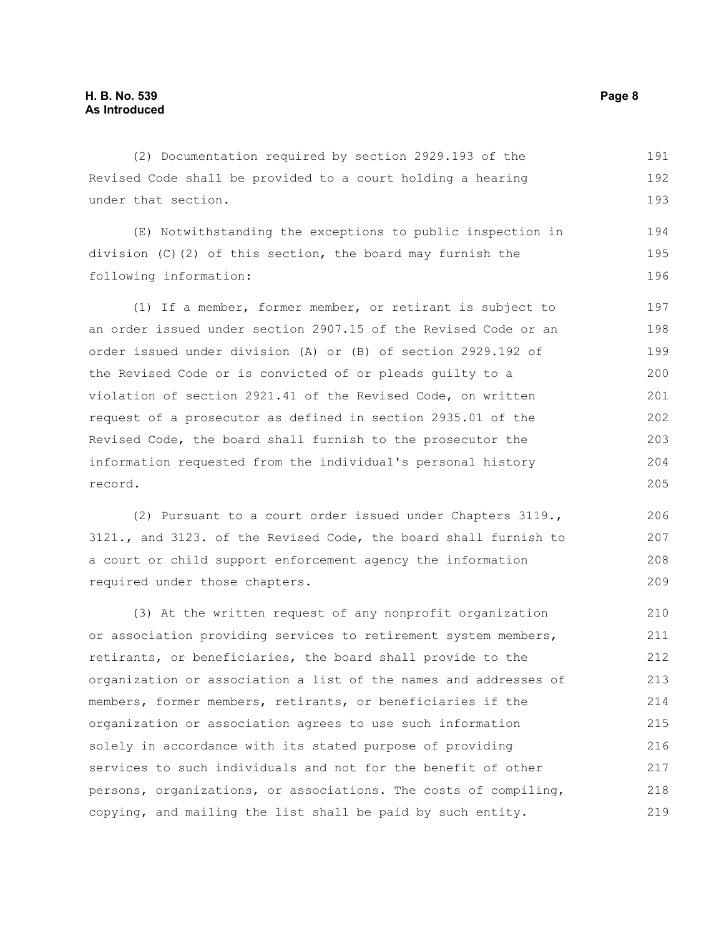(2) Documentation required by section 2929.193 of the Revised Code shall be provided to a court holding a hearing under that section. 191 192 193

(E) Notwithstanding the exceptions to public inspection in division (C)(2) of this section, the board may furnish the following information: 194 195 196

(1) If a member, former member, or retirant is subject to an order issued under section 2907.15 of the Revised Code or an order issued under division (A) or (B) of section 2929.192 of the Revised Code or is convicted of or pleads guilty to a violation of section 2921.41 of the Revised Code, on written request of a prosecutor as defined in section 2935.01 of the Revised Code, the board shall furnish to the prosecutor the information requested from the individual's personal history record. 197 198 199 200 201 202 203 204 205

(2) Pursuant to a court order issued under Chapters 3119., 3121., and 3123. of the Revised Code, the board shall furnish to a court or child support enforcement agency the information required under those chapters.

(3) At the written request of any nonprofit organization or association providing services to retirement system members, retirants, or beneficiaries, the board shall provide to the organization or association a list of the names and addresses of members, former members, retirants, or beneficiaries if the organization or association agrees to use such information solely in accordance with its stated purpose of providing services to such individuals and not for the benefit of other persons, organizations, or associations. The costs of compiling, copying, and mailing the list shall be paid by such entity. 210 211 212 213 214 215 216 217 218 219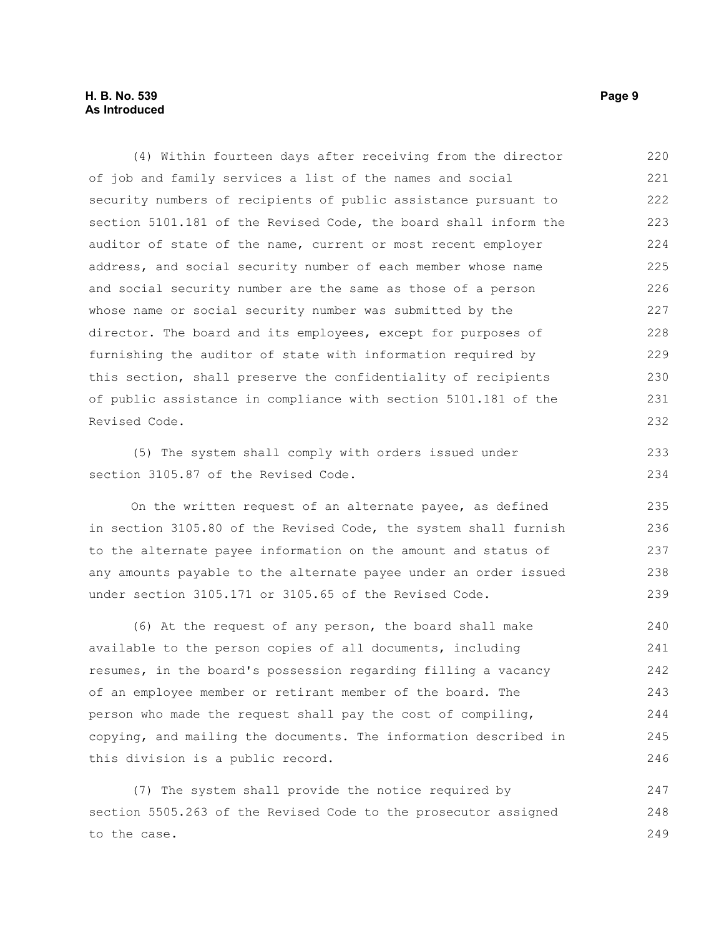### **H. B. No. 539 Page 9 As Introduced**

(4) Within fourteen days after receiving from the director of job and family services a list of the names and social security numbers of recipients of public assistance pursuant to section 5101.181 of the Revised Code, the board shall inform the auditor of state of the name, current or most recent employer address, and social security number of each member whose name and social security number are the same as those of a person whose name or social security number was submitted by the director. The board and its employees, except for purposes of furnishing the auditor of state with information required by this section, shall preserve the confidentiality of recipients of public assistance in compliance with section 5101.181 of the Revised Code. 220 221 222 223 224 225 226 227 228 229 230 231 232

(5) The system shall comply with orders issued under section 3105.87 of the Revised Code.

On the written request of an alternate payee, as defined in section 3105.80 of the Revised Code, the system shall furnish to the alternate payee information on the amount and status of any amounts payable to the alternate payee under an order issued under section 3105.171 or 3105.65 of the Revised Code.

(6) At the request of any person, the board shall make available to the person copies of all documents, including resumes, in the board's possession regarding filling a vacancy of an employee member or retirant member of the board. The person who made the request shall pay the cost of compiling, copying, and mailing the documents. The information described in this division is a public record. 240 241 242 243 244 245 246

(7) The system shall provide the notice required by section 5505.263 of the Revised Code to the prosecutor assigned to the case. 247 248 249

233 234